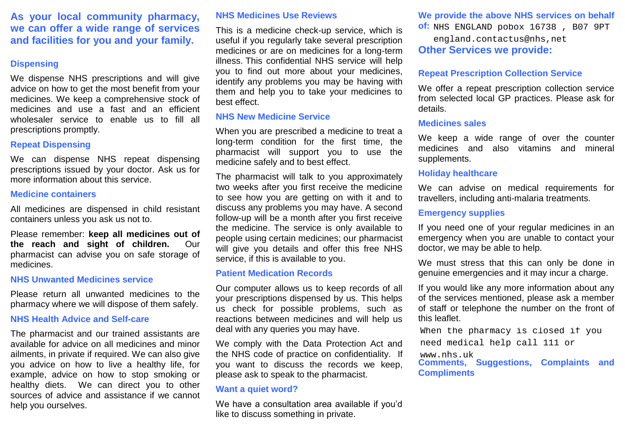**As your local community pharmacy, we can offer a wide range of services and facilities for you and your family.** 

#### **Dispensing**

We dispense NHS prescriptions and will give advice on how to get the most benefit from your medicines. We keep a comprehensive stock of medicines and use a fast and an efficient wholesaler service to enable us to fill all prescriptions promptly.

## **Repeat Dispensing**

We can dispense NHS repeat dispensing prescriptions issued by your doctor. Ask us for more information about this service.

#### **Medicine containers**

All medicines are dispensed in child resistant containers unless you ask us not to.

Please remember: **keep all medicines out of the reach and sight of children.** Our pharmacist can advise you on safe storage of medicines.

#### **NHS Unwanted Medicines service**

Please return all unwanted medicines to the pharmacy where we will dispose of them safely.

## **NHS Health Advice and Self-care**

The pharmacist and our trained assistants are available for advice on all medicines and minor ailments, in private if required. We can also give you advice on how to live a healthy life, for example, advice on how to stop smoking or healthy diets. We can direct you to other sources of advice and assistance if we cannot help you ourselves.

## **NHS Medicines Use Reviews**

This is a medicine check-up service, which is useful if you regularly take several prescription medicines or are on medicines for a long-term illness. This confidential NHS service will help you to find out more about your medicines, identify any problems you may be having with them and help you to take your medicines to best effect.

## **NHS New Medicine Service**

When you are prescribed a medicine to treat a long-term condition for the first time, the pharmacist will support you to use the medicine safely and to best effect.

The pharmacist will talk to you approximately two weeks after you first receive the medicine to see how you are getting on with it and to discuss any problems you may have. A second follow-up will be a month after you first receive the medicine. The service is only available to people using certain medicines; our pharmacist will give you details and offer this free NHS service, if this is available to you.

## **Patient Medication Records**

Our computer allows us to keep records of all your prescriptions dispensed by us. This helps us check for possible problems, such as reactions between medicines and will help us deal with any queries you may have.

We comply with the Data Protection Act and the NHS code of practice on confidentiality. If you want to discuss the records we keep, please ask to speak to the pharmacist.

#### **Want a quiet word?**

We have a consultation area available if you'd like to discuss something in private.

## **We provide the above NHS services on behalf**

**of:**  NHS ENGLAND pobox 16738 , B07 9PT

**Other Services we provide:**  england.contactus@nhs,net

## **Repeat Prescription Collection Service**

We offer a repeat prescription collection service from selected local GP practices. Please ask for details.

#### **Medicines sales**

We keep a wide range of over the counter medicines and also vitamins and mineral supplements.

#### **Holiday healthcare**

We can advise on medical requirements for travellers, including anti-malaria treatments.

### **Emergency supplies**

If you need one of your regular medicines in an emergency when you are unable to contact your doctor, we may be able to help.

We must stress that this can only be done in genuine emergencies and it may incur a charge.

If you would like any more information about any of the services mentioned, please ask a member of staff or telephone the number on the front of this leaflet.

When the pharmacy is closed if you

need medical help call 111 or

www.nhs.uk

**Comments, Suggestions, Complaints and Compliments**